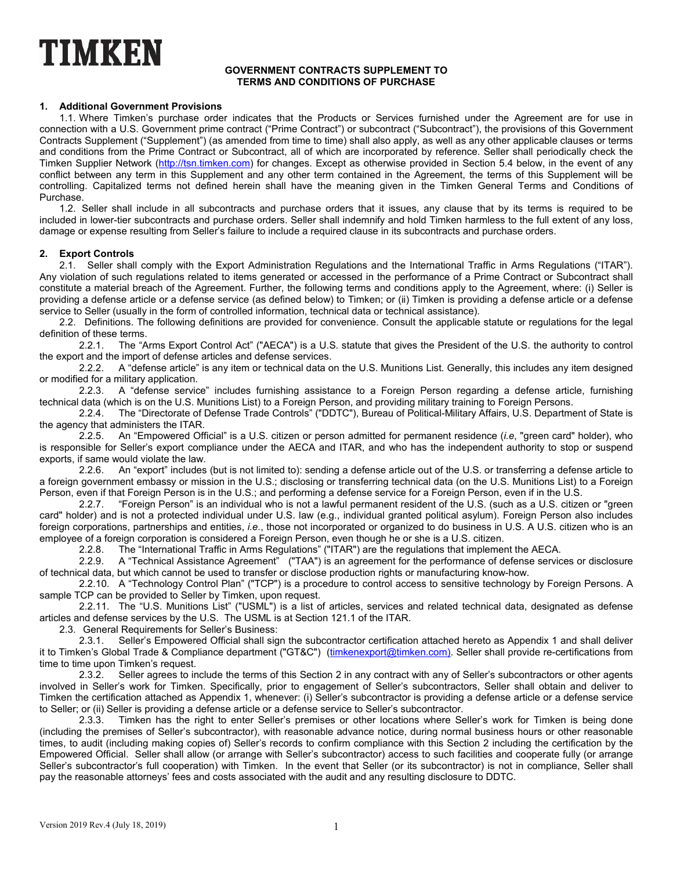# TIMKEN

#### **GOVERNMENT CONTRACTS SUPPLEMENT TO TERMS AND CONDITIONS OF PURCHASE**

## **1. Additional Government Provisions**

1.1. Where Timken's purchase order indicates that the Products or Services furnished under the Agreement are for use in connection with a U.S. Government prime contract ("Prime Contract") or subcontract ("Subcontract"), the provisions of this Government Contracts Supplement ("Supplement") (as amended from time to time) shall also apply, as well as any other applicable clauses or terms and conditions from the Prime Contract or Subcontract, all of which are incorporated by reference. Seller shall periodically check the Timken Supplier Network (http://tsn.timken.com) for changes. Except as otherwise provided in Section 5.4 below, in the event of any conflict between any term in this Supplement and any other term contained in the Agreement, the terms of this Supplement will be controlling. Capitalized terms not defined herein shall have the meaning given in the Timken General Terms and Conditions of Purchase.

1.2. Seller shall include in all subcontracts and purchase orders that it issues, any clause that by its terms is required to be included in lower-tier subcontracts and purchase orders. Seller shall indemnify and hold Timken harmless to the full extent of any loss, damage or expense resulting from Seller's failure to include a required clause in its subcontracts and purchase orders.

#### **2. Export Controls**

2.1. Seller shall comply with the Export Administration Regulations and the International Traffic in Arms Regulations ("ITAR"). Any violation of such regulations related to items generated or accessed in the performance of a Prime Contract or Subcontract shall constitute a material breach of the Agreement. Further, the following terms and conditions apply to the Agreement, where: (i) Seller is providing a defense article or a defense service (as defined below) to Timken; or (ii) Timken is providing a defense article or a defense service to Seller (usually in the form of controlled information, technical data or technical assistance).

2.2. Definitions. The following definitions are provided for convenience. Consult the applicable statute or regulations for the legal definition of these terms.

2.2.1. The "Arms Export Control Act" ("AECA") is a U.S. statute that gives the President of the U.S. the authority to control the export and the import of defense articles and defense services.

2.2.2. A "defense article" is any item or technical data on the U.S. Munitions List. Generally, this includes any item designed or modified for a military application.<br>2.2.3. A "defense service"

2.2.3. A "defense service" includes furnishing assistance to a Foreign Person regarding a defense article, furnishing technical data (which is on the U.S. Munitions List) to a Foreign Person, and providing military training to Foreign Persons.

2.2.4. The "Directorate of Defense Trade Controls" ("DDTC"), Bureau of Political-Military Affairs, U.S. Department of State is the agency that administers the ITAR.<br>2.2.5. An "Empowered Off

2.2.5. An "Empowered Official" is a U.S. citizen or person admitted for permanent residence (*i.e*, "green card" holder), who is responsible for Seller's export compliance under the AECA and ITAR, and who has the independent authority to stop or suspend exports, if same would violate the law.

2.2.6. An "export" includes (but is not limited to): sending a defense article out of the U.S. or transferring a defense article to a foreign government embassy or mission in the U.S.; disclosing or transferring technical data (on the U.S. Munitions List) to a Foreign Person, even if that Foreign Person is in the U.S.; and performing a defense service for a Foreign Person, even if in the U.S.

2.2.7. "Foreign Person" is an individual who is not a lawful permanent resident of the U.S. (such as a U.S. citizen or "green card" holder) and is not a protected individual under U.S. law (e.g., individual granted political asylum). Foreign Person also includes foreign corporations, partnerships and entities, *i.e.*, those not incorporated or organized to do business in U.S. A U.S. citizen who is an employee of a foreign corporation is considered a Foreign Person, even though he or she is a U.S. citizen.

2.2.8. The "International Traffic in Arms Regulations" ("ITAR") are the regulations that implement the AECA.<br>2.2.9. A "Technical Assistance Agreement" ("TAA") is an agreement for the performance of defense servic

A "Technical Assistance Agreement" ("TAA") is an agreement for the performance of defense services or disclosure of technical data, but which cannot be used to transfer or disclose production rights or manufacturing know-how.

2.2.10. A "Technology Control Plan" ("TCP") is a procedure to control access to sensitive technology by Foreign Persons. A sample TCP can be provided to Seller by Timken, upon request.

2.2.11. The "U.S. Munitions List" ("USML") is a list of articles, services and related technical data, designated as defense articles and defense services by the U.S. The USML is at Section 121.1 of the ITAR.

2.3. General Requirements for Seller's Business:

2.3.1. Seller's Empowered Official shall sign the subcontractor certification attached hereto as Appendix 1 and shall deliver it to Timken's Global Trade & Compliance department ("GT&C") (timkenexport@timken.com). Seller shall provide re-certifications from time to time upon Timken's request.

2.3.2. Seller agrees to include the terms of this Section 2 in any contract with any of Seller's subcontractors or other agents involved in Seller's work for Timken. Specifically, prior to engagement of Seller's subcontractors, Seller shall obtain and deliver to Timken the certification attached as Appendix 1, whenever: (i) Seller's subcontractor is providing a defense article or a defense service to Seller; or (ii) Seller is providing a defense article or a defense service to Seller's subcontractor.

2.3.3. Timken has the right to enter Seller's premises or other locations where Seller's work for Timken is being done (including the premises of Seller's subcontractor), with reasonable advance notice, during normal business hours or other reasonable times, to audit (including making copies of) Seller's records to confirm compliance with this Section 2 including the certification by the Empowered Official. Seller shall allow (or arrange with Seller's subcontractor) access to such facilities and cooperate fully (or arrange Seller's subcontractor's full cooperation) with Timken. In the event that Seller (or its subcontractor) is not in compliance, Seller shall pay the reasonable attorneys' fees and costs associated with the audit and any resulting disclosure to DDTC.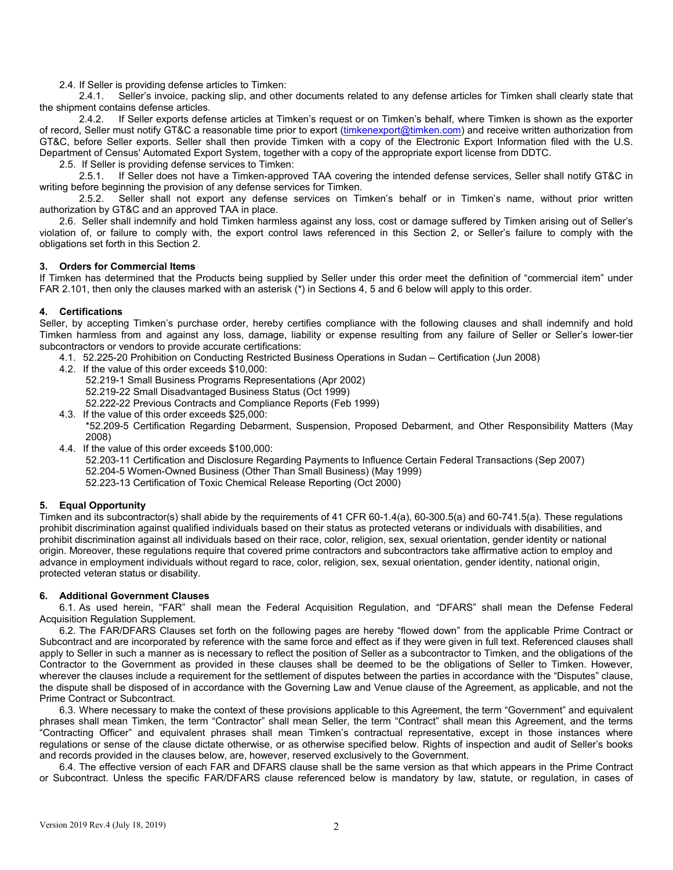2.4. If Seller is providing defense articles to Timken:

2.4.1. Seller's invoice, packing slip, and other documents related to any defense articles for Timken shall clearly state that the shipment contains defense articles.

2.4.2. If Seller exports defense articles at Timken's request or on Timken's behalf, where Timken is shown as the exporter of record, Seller must notify GT&C a reasonable time prior to export (timkenexport@timken.com) and receive written authorization from GT&C, before Seller exports. Seller shall then provide Timken with a copy of the Electronic Export Information filed with the U.S. Department of Census' Automated Export System, together with a copy of the appropriate export license from DDTC.

2.5. If Seller is providing defense services to Timken:

2.5.1. If Seller does not have a Timken-approved TAA covering the intended defense services, Seller shall notify GT&C in writing before beginning the provision of any defense services for Timken.<br>2.5.2. Seller shall not export any defense services on Tir

Seller shall not export any defense services on Timken's behalf or in Timken's name, without prior written authorization by GT&C and an approved TAA in place.

2.6. Seller shall indemnify and hold Timken harmless against any loss, cost or damage suffered by Timken arising out of Seller's violation of, or failure to comply with, the export control laws referenced in this Section 2, or Seller's failure to comply with the obligations set forth in this Section 2.

#### **3. Orders for Commercial Items**

If Timken has determined that the Products being supplied by Seller under this order meet the definition of "commercial item" under FAR 2.101, then only the clauses marked with an asterisk (\*) in Sections 4, 5 and 6 below will apply to this order.

## **4. Certifications**

Seller, by accepting Timken's purchase order, hereby certifies compliance with the following clauses and shall indemnify and hold Timken harmless from and against any loss, damage, liability or expense resulting from any failure of Seller or Seller's lower-tier subcontractors or vendors to provide accurate certifications:

- 4.1. 52.225-20 Prohibition on Conducting Restricted Business Operations in Sudan Certification (Jun 2008)
- 4.2. If the value of this order exceeds \$10,000: 52.219-1 Small Business Programs Representations (Apr 2002) 52.219-22 Small Disadvantaged Business Status (Oct 1999) 52.222-22 Previous Contracts and Compliance Reports (Feb 1999) 4.3. If the value of this order exceeds \$25,000:
- \*52.209-5 Certification Regarding Debarment, Suspension, Proposed Debarment, and Other Responsibility Matters (May 2008)
- 4.4. If the value of this order exceeds \$100,000:
	- 52.203-11 Certification and Disclosure Regarding Payments to Influence Certain Federal Transactions (Sep 2007) 52.204-5 Women-Owned Business (Other Than Small Business) (May 1999)
	- 52.223-13 Certification of Toxic Chemical Release Reporting (Oct 2000)

## **5. Equal Opportunity**

Timken and its subcontractor(s) shall abide by the requirements of 41 CFR 60-1.4(a), 60-300.5(a) and 60-741.5(a). These regulations prohibit discrimination against qualified individuals based on their status as protected veterans or individuals with disabilities, and prohibit discrimination against all individuals based on their race, color, religion, sex, sexual orientation, gender identity or national origin. Moreover, these regulations require that covered prime contractors and subcontractors take affirmative action to employ and advance in employment individuals without regard to race, color, religion, sex, sexual orientation, gender identity, national origin, protected veteran status or disability.

#### **6. Additional Government Clauses**

6.1. As used herein, "FAR" shall mean the Federal Acquisition Regulation, and "DFARS" shall mean the Defense Federal Acquisition Regulation Supplement.

6.2. The FAR/DFARS Clauses set forth on the following pages are hereby "flowed down" from the applicable Prime Contract or Subcontract and are incorporated by reference with the same force and effect as if they were given in full text. Referenced clauses shall apply to Seller in such a manner as is necessary to reflect the position of Seller as a subcontractor to Timken, and the obligations of the Contractor to the Government as provided in these clauses shall be deemed to be the obligations of Seller to Timken. However, wherever the clauses include a requirement for the settlement of disputes between the parties in accordance with the "Disputes" clause, the dispute shall be disposed of in accordance with the Governing Law and Venue clause of the Agreement, as applicable, and not the Prime Contract or Subcontract.

6.3. Where necessary to make the context of these provisions applicable to this Agreement, the term "Government" and equivalent phrases shall mean Timken, the term "Contractor" shall mean Seller, the term "Contract" shall mean this Agreement, and the terms "Contracting Officer" and equivalent phrases shall mean Timken's contractual representative, except in those instances where regulations or sense of the clause dictate otherwise, or as otherwise specified below. Rights of inspection and audit of Seller's books and records provided in the clauses below, are, however, reserved exclusively to the Government.

6.4. The effective version of each FAR and DFARS clause shall be the same version as that which appears in the Prime Contract or Subcontract. Unless the specific FAR/DFARS clause referenced below is mandatory by law, statute, or regulation, in cases of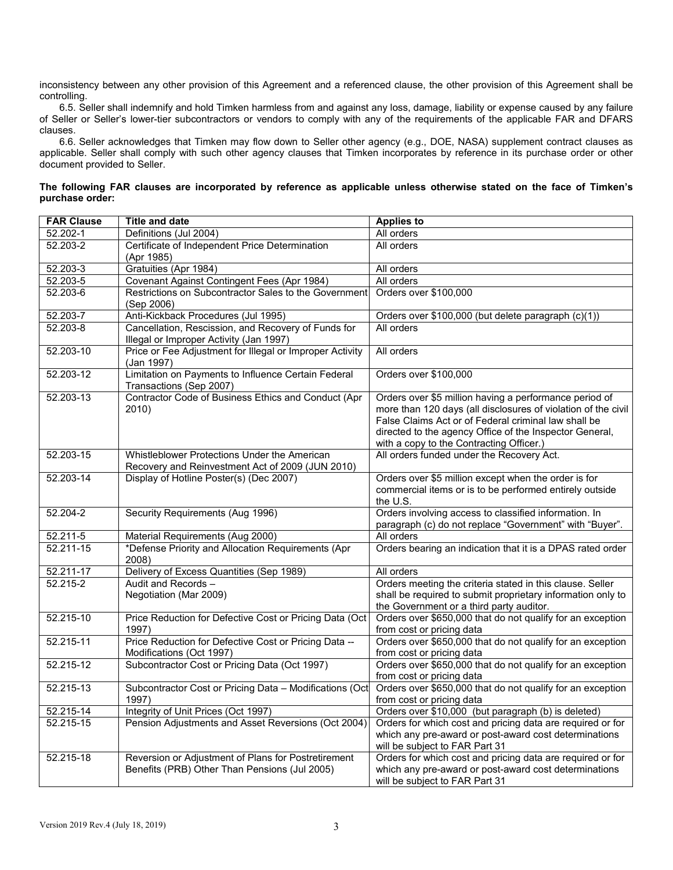inconsistency between any other provision of this Agreement and a referenced clause, the other provision of this Agreement shall be controlling.

6.5. Seller shall indemnify and hold Timken harmless from and against any loss, damage, liability or expense caused by any failure of Seller or Seller's lower-tier subcontractors or vendors to comply with any of the requirements of the applicable FAR and DFARS clauses.

6.6. Seller acknowledges that Timken may flow down to Seller other agency (e.g., DOE, NASA) supplement contract clauses as applicable. Seller shall comply with such other agency clauses that Timken incorporates by reference in its purchase order or other document provided to Seller.

| The following FAR clauses are incorporated by reference as applicable unless otherwise stated on the face of Timken's |  |  |  |  |  |  |
|-----------------------------------------------------------------------------------------------------------------------|--|--|--|--|--|--|
| purchase order:                                                                                                       |  |  |  |  |  |  |

| <b>FAR Clause</b> | <b>Title and date</b>                                                                                | <b>Applies to</b>                                                                                                                                                                                                                                                                      |  |  |
|-------------------|------------------------------------------------------------------------------------------------------|----------------------------------------------------------------------------------------------------------------------------------------------------------------------------------------------------------------------------------------------------------------------------------------|--|--|
| 52.202-1          | Definitions (Jul 2004)                                                                               | All orders                                                                                                                                                                                                                                                                             |  |  |
| 52.203-2          | Certificate of Independent Price Determination<br>(Apr 1985)                                         | All orders                                                                                                                                                                                                                                                                             |  |  |
| 52.203-3          | Gratuities (Apr 1984)                                                                                | All orders                                                                                                                                                                                                                                                                             |  |  |
| 52.203-5          | Covenant Against Contingent Fees (Apr 1984)                                                          | All orders                                                                                                                                                                                                                                                                             |  |  |
| 52.203-6          | Restrictions on Subcontractor Sales to the Government<br>(Sep 2006)                                  | Orders over \$100,000                                                                                                                                                                                                                                                                  |  |  |
| 52.203-7          | Anti-Kickback Procedures (Jul 1995)                                                                  | Orders over \$100,000 (but delete paragraph (c)(1))                                                                                                                                                                                                                                    |  |  |
| $52.203 - 8$      | Cancellation, Rescission, and Recovery of Funds for<br>Illegal or Improper Activity (Jan 1997)       | All orders                                                                                                                                                                                                                                                                             |  |  |
| 52.203-10         | Price or Fee Adjustment for Illegal or Improper Activity<br>(Jan 1997)                               | All orders                                                                                                                                                                                                                                                                             |  |  |
| 52.203-12         | Limitation on Payments to Influence Certain Federal<br>Transactions (Sep 2007)                       | Orders over \$100,000                                                                                                                                                                                                                                                                  |  |  |
| 52.203-13         | Contractor Code of Business Ethics and Conduct (Apr<br>2010)                                         | Orders over \$5 million having a performance period of<br>more than 120 days (all disclosures of violation of the civil<br>False Claims Act or of Federal criminal law shall be<br>directed to the agency Office of the Inspector General,<br>with a copy to the Contracting Officer.) |  |  |
| 52.203-15         | Whistleblower Protections Under the American<br>Recovery and Reinvestment Act of 2009 (JUN 2010)     | All orders funded under the Recovery Act.                                                                                                                                                                                                                                              |  |  |
| 52.203-14         | Display of Hotline Poster(s) (Dec 2007)                                                              | Orders over \$5 million except when the order is for<br>commercial items or is to be performed entirely outside<br>the U.S.                                                                                                                                                            |  |  |
| 52.204-2          | Security Requirements (Aug 1996)                                                                     | Orders involving access to classified information. In<br>paragraph (c) do not replace "Government" with "Buyer".                                                                                                                                                                       |  |  |
| 52.211-5          | Material Requirements (Aug 2000)                                                                     | All orders                                                                                                                                                                                                                                                                             |  |  |
| 52.211-15         | *Defense Priority and Allocation Requirements (Apr<br>2008)                                          | Orders bearing an indication that it is a DPAS rated order                                                                                                                                                                                                                             |  |  |
| 52.211-17         | Delivery of Excess Quantities (Sep 1989)                                                             | All orders                                                                                                                                                                                                                                                                             |  |  |
| $52.215 - 2$      | Audit and Records -<br>Negotiation (Mar 2009)                                                        | Orders meeting the criteria stated in this clause. Seller<br>shall be required to submit proprietary information only to<br>the Government or a third party auditor.                                                                                                                   |  |  |
| 52.215-10         | Price Reduction for Defective Cost or Pricing Data (Oct)<br>1997)                                    | Orders over \$650,000 that do not qualify for an exception<br>from cost or pricing data                                                                                                                                                                                                |  |  |
| 52.215-11         | Price Reduction for Defective Cost or Pricing Data --<br>Modifications (Oct 1997)                    | Orders over \$650,000 that do not qualify for an exception<br>from cost or pricing data                                                                                                                                                                                                |  |  |
| 52.215-12         | Subcontractor Cost or Pricing Data (Oct 1997)                                                        | Orders over \$650,000 that do not qualify for an exception<br>from cost or pricing data                                                                                                                                                                                                |  |  |
| 52.215-13         | Subcontractor Cost or Pricing Data - Modifications (Oct<br>1997)                                     | Orders over \$650,000 that do not qualify for an exception<br>from cost or pricing data                                                                                                                                                                                                |  |  |
| 52.215-14         | Integrity of Unit Prices (Oct 1997)                                                                  | Orders over \$10,000 (but paragraph (b) is deleted)                                                                                                                                                                                                                                    |  |  |
| 52.215-15         | Pension Adjustments and Asset Reversions (Oct 2004)                                                  | Orders for which cost and pricing data are required or for<br>which any pre-award or post-award cost determinations<br>will be subject to FAR Part 31                                                                                                                                  |  |  |
| 52.215-18         | Reversion or Adjustment of Plans for Postretirement<br>Benefits (PRB) Other Than Pensions (Jul 2005) | Orders for which cost and pricing data are required or for<br>which any pre-award or post-award cost determinations<br>will be subject to FAR Part 31                                                                                                                                  |  |  |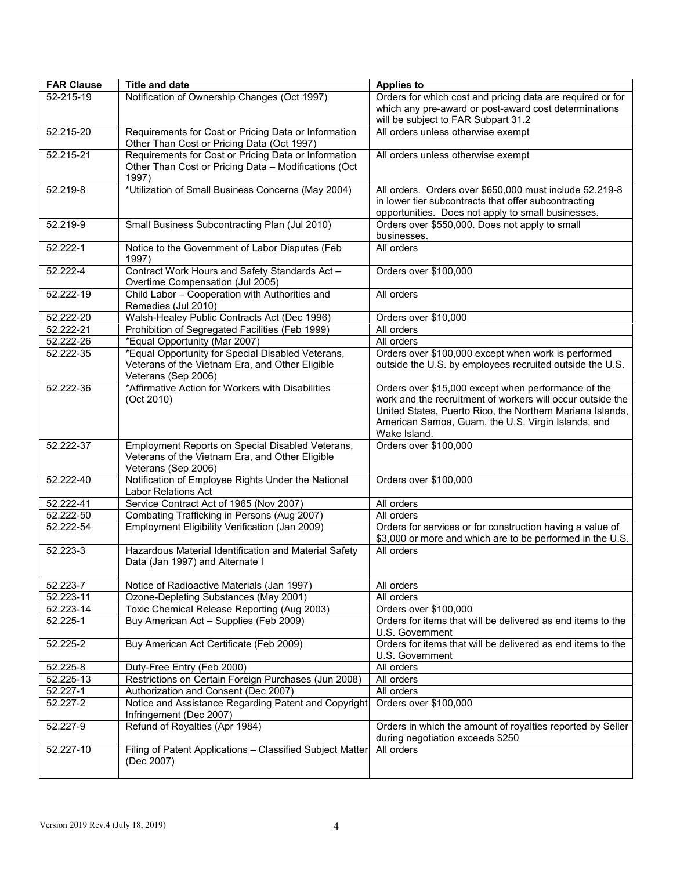| <b>FAR Clause</b>       | <b>Title and date</b>                                                                                                       | <b>Applies to</b>                                                                                                                                                                                                                                    |  |  |
|-------------------------|-----------------------------------------------------------------------------------------------------------------------------|------------------------------------------------------------------------------------------------------------------------------------------------------------------------------------------------------------------------------------------------------|--|--|
| 52-215-19               | Notification of Ownership Changes (Oct 1997)                                                                                | Orders for which cost and pricing data are required or for<br>which any pre-award or post-award cost determinations<br>will be subject to FAR Subpart 31.2                                                                                           |  |  |
| 52.215-20               | Requirements for Cost or Pricing Data or Information<br>Other Than Cost or Pricing Data (Oct 1997)                          | All orders unless otherwise exempt                                                                                                                                                                                                                   |  |  |
| 52.215-21               | Requirements for Cost or Pricing Data or Information<br>Other Than Cost or Pricing Data - Modifications (Oct<br>1997)       | All orders unless otherwise exempt                                                                                                                                                                                                                   |  |  |
| $52.219 - 8$            | *Utilization of Small Business Concerns (May 2004)                                                                          | All orders. Orders over \$650,000 must include 52.219-8<br>in lower tier subcontracts that offer subcontracting<br>opportunities. Does not apply to small businesses.                                                                                |  |  |
| 52.219-9                | Small Business Subcontracting Plan (Jul 2010)                                                                               | Orders over \$550,000. Does not apply to small<br>businesses.                                                                                                                                                                                        |  |  |
| 52.222-1                | Notice to the Government of Labor Disputes (Feb<br>1997)                                                                    | All orders                                                                                                                                                                                                                                           |  |  |
| 52.222-4                | Contract Work Hours and Safety Standards Act -<br>Overtime Compensation (Jul 2005)                                          | Orders over \$100,000                                                                                                                                                                                                                                |  |  |
| 52.222-19               | Child Labor - Cooperation with Authorities and<br>Remedies (Jul 2010)                                                       | All orders                                                                                                                                                                                                                                           |  |  |
| 52.222-20               | Walsh-Healey Public Contracts Act (Dec 1996)                                                                                | Orders over \$10,000                                                                                                                                                                                                                                 |  |  |
| 52.222-21               | Prohibition of Segregated Facilities (Feb 1999)                                                                             | All orders                                                                                                                                                                                                                                           |  |  |
| 52.222-26               | *Equal Opportunity (Mar 2007)                                                                                               | All orders                                                                                                                                                                                                                                           |  |  |
| 52.222-35               | *Equal Opportunity for Special Disabled Veterans,<br>Veterans of the Vietnam Era, and Other Eligible<br>Veterans (Sep 2006) | Orders over \$100,000 except when work is performed<br>outside the U.S. by employees recruited outside the U.S.                                                                                                                                      |  |  |
| 52.222-36               | *Affirmative Action for Workers with Disabilities<br>(Oct 2010)                                                             | Orders over \$15,000 except when performance of the<br>work and the recruitment of workers will occur outside the<br>United States, Puerto Rico, the Northern Mariana Islands,<br>American Samoa, Guam, the U.S. Virgin Islands, and<br>Wake Island. |  |  |
| 52.222-37               | Employment Reports on Special Disabled Veterans,<br>Veterans of the Vietnam Era, and Other Eligible<br>Veterans (Sep 2006)  | Orders over \$100,000                                                                                                                                                                                                                                |  |  |
| 52.222-40               | Notification of Employee Rights Under the National<br><b>Labor Relations Act</b>                                            | Orders over \$100,000                                                                                                                                                                                                                                |  |  |
| 52.222-41               | Service Contract Act of 1965 (Nov 2007)                                                                                     | All orders                                                                                                                                                                                                                                           |  |  |
| 52.222-50               | Combating Trafficking in Persons (Aug 2007)                                                                                 | All orders                                                                                                                                                                                                                                           |  |  |
| 52.222-54               | Employment Eligibility Verification (Jan 2009)                                                                              | Orders for services or for construction having a value of<br>\$3,000 or more and which are to be performed in the U.S.                                                                                                                               |  |  |
| 52.223-3                | Hazardous Material Identification and Material Safety<br>Data (Jan 1997) and Alternate I                                    | All orders                                                                                                                                                                                                                                           |  |  |
| 52.223-7                | Notice of Radioactive Materials (Jan 1997)                                                                                  | All orders                                                                                                                                                                                                                                           |  |  |
| 52.223-11               | Ozone-Depleting Substances (May 2001)                                                                                       | All orders                                                                                                                                                                                                                                           |  |  |
| $\overline{52.223}$ -14 | Toxic Chemical Release Reporting (Aug 2003)                                                                                 | Orders over \$100,000                                                                                                                                                                                                                                |  |  |
| 52.225-1                | Buy American Act - Supplies (Feb 2009)                                                                                      | Orders for items that will be delivered as end items to the<br>U.S. Government                                                                                                                                                                       |  |  |
| 52.225-2                | Buy American Act Certificate (Feb 2009)                                                                                     | Orders for items that will be delivered as end items to the<br>U.S. Government                                                                                                                                                                       |  |  |
| 52.225-8                | Duty-Free Entry (Feb 2000)                                                                                                  | All orders                                                                                                                                                                                                                                           |  |  |
| 52.225-13               | Restrictions on Certain Foreign Purchases (Jun 2008)                                                                        | All orders                                                                                                                                                                                                                                           |  |  |
| 52.227-1                | Authorization and Consent (Dec 2007)                                                                                        | All orders                                                                                                                                                                                                                                           |  |  |
| 52.227-2                | Notice and Assistance Regarding Patent and Copyright<br>Infringement (Dec 2007)                                             | Orders over \$100,000                                                                                                                                                                                                                                |  |  |
| 52.227-9                | Refund of Royalties (Apr 1984)                                                                                              | Orders in which the amount of royalties reported by Seller<br>during negotiation exceeds \$250                                                                                                                                                       |  |  |
| 52.227-10               | Filing of Patent Applications - Classified Subject Matter<br>(Dec 2007)                                                     | All orders                                                                                                                                                                                                                                           |  |  |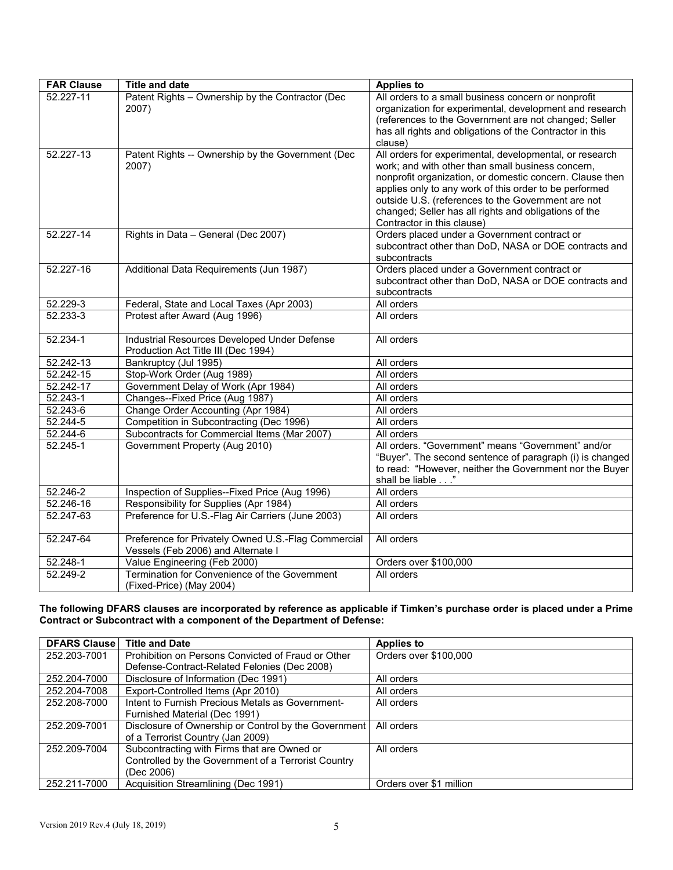| <b>FAR Clause</b>      | <b>Title and date</b>                                                                     | <b>Applies to</b>                                                                                                                                                                                                                                                                                                                                                               |  |  |
|------------------------|-------------------------------------------------------------------------------------------|---------------------------------------------------------------------------------------------------------------------------------------------------------------------------------------------------------------------------------------------------------------------------------------------------------------------------------------------------------------------------------|--|--|
| 52.227-11              | Patent Rights - Ownership by the Contractor (Dec<br>2007)                                 | All orders to a small business concern or nonprofit<br>organization for experimental, development and research<br>(references to the Government are not changed; Seller<br>has all rights and obligations of the Contractor in this<br>clause)                                                                                                                                  |  |  |
| 52.227-13              | Patent Rights -- Ownership by the Government (Dec<br>2007)                                | All orders for experimental, developmental, or research<br>work; and with other than small business concern,<br>nonprofit organization, or domestic concern. Clause then<br>applies only to any work of this order to be performed<br>outside U.S. (references to the Government are not<br>changed; Seller has all rights and obligations of the<br>Contractor in this clause) |  |  |
| 52.227-14              | Rights in Data - General (Dec 2007)                                                       | Orders placed under a Government contract or<br>subcontract other than DoD, NASA or DOE contracts and<br>subcontracts                                                                                                                                                                                                                                                           |  |  |
| 52.227-16              | Additional Data Requirements (Jun 1987)                                                   | Orders placed under a Government contract or<br>subcontract other than DoD, NASA or DOE contracts and<br>subcontracts                                                                                                                                                                                                                                                           |  |  |
| 52.229-3               | Federal, State and Local Taxes (Apr 2003)                                                 | All orders                                                                                                                                                                                                                                                                                                                                                                      |  |  |
| 52.233-3               | Protest after Award (Aug 1996)                                                            | All orders                                                                                                                                                                                                                                                                                                                                                                      |  |  |
| 52.234-1               | Industrial Resources Developed Under Defense<br>Production Act Title III (Dec 1994)       | All orders                                                                                                                                                                                                                                                                                                                                                                      |  |  |
| 52.242-13              | Bankruptcy (Jul 1995)                                                                     | All orders                                                                                                                                                                                                                                                                                                                                                                      |  |  |
| 52.242-15              | Stop-Work Order (Aug 1989)                                                                | All orders                                                                                                                                                                                                                                                                                                                                                                      |  |  |
| 52.242-17              | Government Delay of Work (Apr 1984)                                                       | All orders                                                                                                                                                                                                                                                                                                                                                                      |  |  |
| 52.243-1               | Changes--Fixed Price (Aug 1987)                                                           | All orders                                                                                                                                                                                                                                                                                                                                                                      |  |  |
| 52.243-6               | Change Order Accounting (Apr 1984)                                                        | All orders                                                                                                                                                                                                                                                                                                                                                                      |  |  |
| 52.244-5               | Competition in Subcontracting (Dec 1996)                                                  | All orders                                                                                                                                                                                                                                                                                                                                                                      |  |  |
| 52.244-6               | Subcontracts for Commercial Items (Mar 2007)                                              | All orders                                                                                                                                                                                                                                                                                                                                                                      |  |  |
| 52.245-1               | Government Property (Aug 2010)                                                            | All orders. "Government" means "Government" and/or<br>"Buyer". The second sentence of paragraph (i) is changed<br>to read: "However, neither the Government nor the Buyer<br>shall be liable"                                                                                                                                                                                   |  |  |
| $52.246 - 2$           | Inspection of Supplies--Fixed Price (Aug 1996)                                            | All orders                                                                                                                                                                                                                                                                                                                                                                      |  |  |
| 52.246-16              | Responsibility for Supplies (Apr 1984)                                                    | All orders                                                                                                                                                                                                                                                                                                                                                                      |  |  |
| 52.247-63              | Preference for U.S.-Flag Air Carriers (June 2003)                                         | All orders                                                                                                                                                                                                                                                                                                                                                                      |  |  |
| 52.247-64              | Preference for Privately Owned U.S.-Flag Commercial<br>Vessels (Feb 2006) and Alternate I | All orders                                                                                                                                                                                                                                                                                                                                                                      |  |  |
| 52.248-1               | Value Engineering (Feb 2000)                                                              | Orders over \$100,000                                                                                                                                                                                                                                                                                                                                                           |  |  |
| $\overline{52.249}$ -2 | Termination for Convenience of the Government<br>(Fixed-Price) (May 2004)                 | All orders                                                                                                                                                                                                                                                                                                                                                                      |  |  |

**The following DFARS clauses are incorporated by reference as applicable if Timken's purchase order is placed under a Prime Contract or Subcontract with a component of the Department of Defense:** 

| <b>DFARS Clause</b> | <b>Title and Date</b>                                | <b>Applies to</b>       |
|---------------------|------------------------------------------------------|-------------------------|
| 252.203-7001        | Prohibition on Persons Convicted of Fraud or Other   | Orders over \$100,000   |
|                     | Defense-Contract-Related Felonies (Dec 2008)         |                         |
| 252.204-7000        | Disclosure of Information (Dec 1991)                 | All orders              |
| 252.204-7008        | Export-Controlled Items (Apr 2010)                   | All orders              |
| 252.208-7000        | Intent to Furnish Precious Metals as Government-     | All orders              |
|                     | Furnished Material (Dec 1991)                        |                         |
| 252.209-7001        | Disclosure of Ownership or Control by the Government | All orders              |
|                     | of a Terrorist Country (Jan 2009)                    |                         |
| 252.209-7004        | Subcontracting with Firms that are Owned or          | All orders              |
|                     | Controlled by the Government of a Terrorist Country  |                         |
|                     | (Dec 2006)                                           |                         |
| 252.211-7000        | Acquisition Streamlining (Dec 1991)                  | Orders over \$1 million |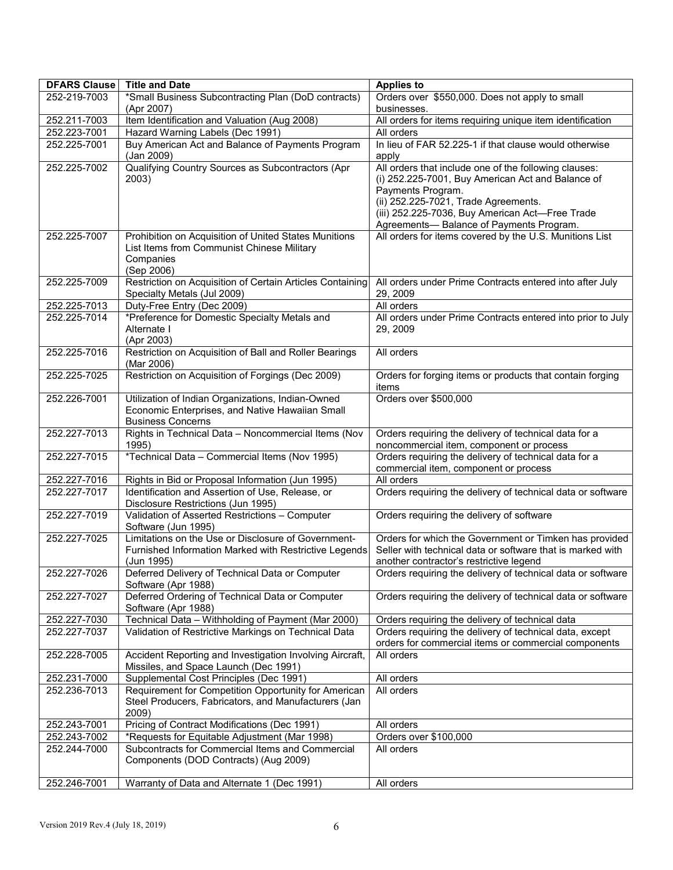| <b>DFARS Clause</b> | <b>Title and Date</b>                                                                                                            | <b>Applies to</b>                                                                                                                                                                                                                                                      |  |  |
|---------------------|----------------------------------------------------------------------------------------------------------------------------------|------------------------------------------------------------------------------------------------------------------------------------------------------------------------------------------------------------------------------------------------------------------------|--|--|
| 252-219-7003        | *Small Business Subcontracting Plan (DoD contracts)<br>(Apr 2007)                                                                | Orders over \$550,000. Does not apply to small<br>businesses.                                                                                                                                                                                                          |  |  |
| 252.211-7003        | Item Identification and Valuation (Aug 2008)                                                                                     | All orders for items requiring unique item identification                                                                                                                                                                                                              |  |  |
| 252.223-7001        | Hazard Warning Labels (Dec 1991)                                                                                                 | All orders                                                                                                                                                                                                                                                             |  |  |
| 252.225-7001        | Buy American Act and Balance of Payments Program<br>(Jan 2009)                                                                   | In lieu of FAR 52.225-1 if that clause would otherwise<br>apply                                                                                                                                                                                                        |  |  |
| 252.225-7002        | Qualifying Country Sources as Subcontractors (Apr<br>2003)                                                                       | All orders that include one of the following clauses:<br>(i) 252.225-7001, Buy American Act and Balance of<br>Payments Program.<br>(ii) 252.225-7021, Trade Agreements.<br>(iii) 252.225-7036, Buy American Act-Free Trade<br>Agreements- Balance of Payments Program. |  |  |
| 252.225-7007        | Prohibition on Acquisition of United States Munitions<br>List Items from Communist Chinese Military<br>Companies<br>(Sep 2006)   | All orders for items covered by the U.S. Munitions List                                                                                                                                                                                                                |  |  |
| 252.225-7009        | Restriction on Acquisition of Certain Articles Containing<br>Specialty Metals (Jul 2009)                                         | All orders under Prime Contracts entered into after July<br>29, 2009                                                                                                                                                                                                   |  |  |
| 252.225-7013        | Duty-Free Entry (Dec 2009)                                                                                                       | All orders                                                                                                                                                                                                                                                             |  |  |
| 252.225-7014        | *Preference for Domestic Specialty Metals and<br>Alternate I<br>(Apr 2003)                                                       | All orders under Prime Contracts entered into prior to July<br>29, 2009                                                                                                                                                                                                |  |  |
| 252.225-7016        | Restriction on Acquisition of Ball and Roller Bearings<br>(Mar 2006)                                                             | All orders                                                                                                                                                                                                                                                             |  |  |
| 252.225-7025        | Restriction on Acquisition of Forgings (Dec 2009)                                                                                | Orders for forging items or products that contain forging<br>items                                                                                                                                                                                                     |  |  |
| 252.226-7001        | Utilization of Indian Organizations, Indian-Owned<br>Economic Enterprises, and Native Hawaiian Small<br><b>Business Concerns</b> | Orders over \$500,000                                                                                                                                                                                                                                                  |  |  |
| 252.227-7013        | Rights in Technical Data - Noncommercial Items (Nov<br>1995)                                                                     | Orders requiring the delivery of technical data for a<br>noncommercial item, component or process                                                                                                                                                                      |  |  |
| 252.227-7015        | *Technical Data - Commercial Items (Nov 1995)                                                                                    | Orders requiring the delivery of technical data for a<br>commercial item, component or process                                                                                                                                                                         |  |  |
| 252.227-7016        | Rights in Bid or Proposal Information (Jun 1995)                                                                                 | All orders                                                                                                                                                                                                                                                             |  |  |
| 252.227-7017        | Identification and Assertion of Use, Release, or<br>Disclosure Restrictions (Jun 1995)                                           | Orders requiring the delivery of technical data or software                                                                                                                                                                                                            |  |  |
| 252.227-7019        | Validation of Asserted Restrictions - Computer<br>Software (Jun 1995)                                                            | Orders requiring the delivery of software                                                                                                                                                                                                                              |  |  |
| 252.227-7025        | Limitations on the Use or Disclosure of Government-<br>Furnished Information Marked with Restrictive Legends<br>(Jun 1995)       | Orders for which the Government or Timken has provided<br>Seller with technical data or software that is marked with<br>another contractor's restrictive legend                                                                                                        |  |  |
| 252.227-7026        | Deferred Delivery of Technical Data or Computer<br>Software (Apr 1988)                                                           | Orders requiring the delivery of technical data or software                                                                                                                                                                                                            |  |  |
| 252.227-7027        | Deferred Ordering of Technical Data or Computer<br>Software (Apr 1988)                                                           | Orders requiring the delivery of technical data or software                                                                                                                                                                                                            |  |  |
| 252.227-7030        | Technical Data - Withholding of Payment (Mar 2000)                                                                               | Orders requiring the delivery of technical data                                                                                                                                                                                                                        |  |  |
| 252.227-7037        | Validation of Restrictive Markings on Technical Data                                                                             | Orders requiring the delivery of technical data, except<br>orders for commercial items or commercial components                                                                                                                                                        |  |  |
| 252.228-7005        | Accident Reporting and Investigation Involving Aircraft,<br>Missiles, and Space Launch (Dec 1991)                                | All orders                                                                                                                                                                                                                                                             |  |  |
| 252.231-7000        | Supplemental Cost Principles (Dec 1991)                                                                                          | All orders                                                                                                                                                                                                                                                             |  |  |
| 252.236-7013        | Requirement for Competition Opportunity for American<br>Steel Producers, Fabricators, and Manufacturers (Jan<br>2009)            | All orders                                                                                                                                                                                                                                                             |  |  |
| 252.243-7001        | Pricing of Contract Modifications (Dec 1991)                                                                                     | All orders                                                                                                                                                                                                                                                             |  |  |
| 252.243-7002        | *Requests for Equitable Adjustment (Mar 1998)                                                                                    | Orders over \$100,000                                                                                                                                                                                                                                                  |  |  |
| 252.244-7000        | Subcontracts for Commercial Items and Commercial<br>Components (DOD Contracts) (Aug 2009)                                        | All orders                                                                                                                                                                                                                                                             |  |  |
| 252.246-7001        | Warranty of Data and Alternate 1 (Dec 1991)                                                                                      | All orders                                                                                                                                                                                                                                                             |  |  |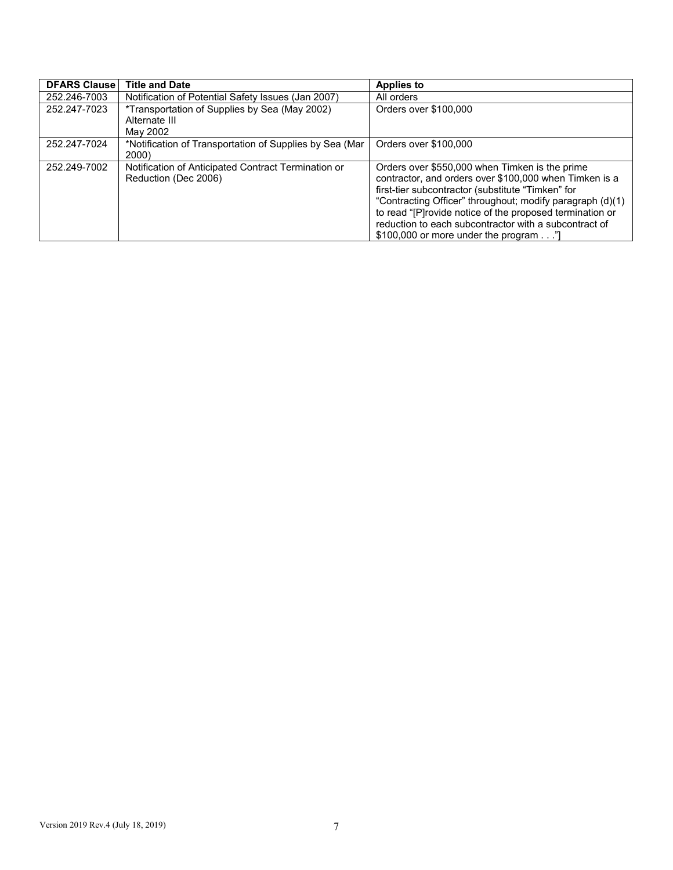| <b>DFARS Clause</b> | <b>Title and Date</b>                                                       | <b>Applies to</b>                                                                                                                                                                                                                                                                                                                                                                       |
|---------------------|-----------------------------------------------------------------------------|-----------------------------------------------------------------------------------------------------------------------------------------------------------------------------------------------------------------------------------------------------------------------------------------------------------------------------------------------------------------------------------------|
| 252.246-7003        | Notification of Potential Safety Issues (Jan 2007)                          | All orders                                                                                                                                                                                                                                                                                                                                                                              |
| 252.247-7023        | *Transportation of Supplies by Sea (May 2002)<br>Alternate III<br>May 2002  | Orders over \$100,000                                                                                                                                                                                                                                                                                                                                                                   |
| 252.247-7024        | *Notification of Transportation of Supplies by Sea (Mar<br>2000             | Orders over \$100,000                                                                                                                                                                                                                                                                                                                                                                   |
| 252.249-7002        | Notification of Anticipated Contract Termination or<br>Reduction (Dec 2006) | Orders over \$550,000 when Timken is the prime<br>contractor, and orders over \$100,000 when Timken is a<br>first-tier subcontractor (substitute "Timken" for<br>"Contracting Officer" throughout; modify paragraph (d)(1)<br>to read "[P]rovide notice of the proposed termination or<br>reduction to each subcontractor with a subcontract of<br>\$100,000 or more under the program" |